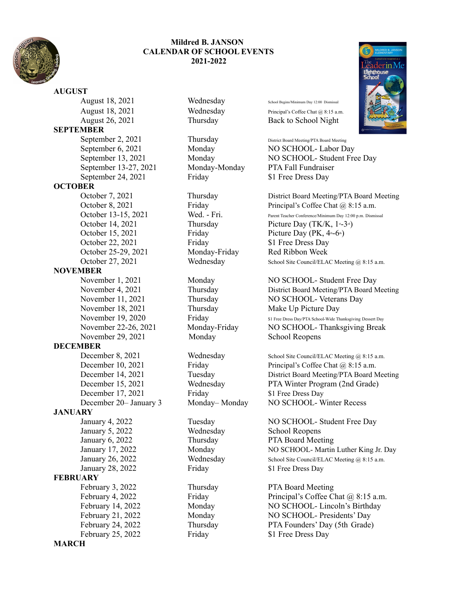

## **Mildred B. JANSON CALENDAR OF SCHOOL EVENTS 2021-2022**

**AUGUST** August 18, 2021 Wednesday School Begins/Minimum Day 12:00 Dismissal August 26, 2021 Thursday Back to School Night **SEPTEMBER** September 2, 2021 Thursday District Board Meeting/PTA Board Meeting September 13-27, 2021 Monday-Monday PTA Fall Fundraiser September 24, 2021 Friday \$1 Free Dress Day **OCTOBER** October 22, 2021 Friday 51 Free Dress Day October 25-29, 2021 Monday-Friday Red Ribbon Week **NOVEMBER** November 29, 2021 Monday School Reopens **DECEMBER** December 17, 2021 Friday \$1 Free Dress Day **JANUARY** January 5, 2022 Wednesday School Reopens January 6, 2022 Thursday PTA Board Meeting January 28, 2022 Friday 51 Free Dress Day **FEBRUARY** February 3, 2022 Thursday PTA Board Meeting February 25, 2022 Friday \$1 Free Dress Day **MARCH**

August 18, 2021 Wednesday Principal's Coffee Chat @ 8:15 a.m.

September 6, 2021 Monday NO SCHOOL- Labor Day September 13, 2021 Monday NO SCHOOL- Student Free Day

October 7, 2021 Thursday District Board Meeting/PTA Board Meeting<br>October 8, 2021 Friday Principal's Coffee Chat @ 8:15 a.m. Friday Principal's Coffee Chat @ 8:15 a.m. October 13-15, 2021 Wed. - Fri. Parent Teacher Conference/Minimum Day 12:00 p.m. Dismissal October 14, 2021 Thursday Picture Day  $(TK/K, 1 - 3)$ October 15, 2021 Friday Picture Day  $(PK, 4 - 6)$ October 27, 2021 Wednesday School Site Council/ELAC Meeting @ 8:15 a.m.

November 1, 2021 Monday NO SCHOOL- Student Free Day November 4, 2021 Thursday District Board Meeting/PTA Board Meeting November 11, 2021 Thursday NO SCHOOL- Veterans Day November 18, 2021 Thursday Make Up Picture Day November 19, 2020 Friday Friday S1 Free Dress Day/PTA School-Wide Thanksgiving Dessert Day November 22-26, 2021 Monday-Friday NO SCHOOL- Thanksgiving Break

December 8, 2021 Wednesday School Site Council/ELAC Meeting @ 8:15 a.m. December 10, 2021 Friday Principal's Coffee Chat @ 8:15 a.m. December 14, 2021 Tuesday District Board Meeting/PTA Board Meeting December 15, 2021 Wednesday PTA Winter Program (2nd Grade) December 20– January 3 Monday– Monday NO SCHOOL- Winter Recess

January 4, 2022 Tuesday NO SCHOOL- Student Free Day January 17, 2022 Monday NO SCHOOL- Martin Luther King Jr. Day January 26, 2022 Wednesday School Site Council/ELAC Meeting @ 8:15 a.m.

February 4, 2022 Friday Principal's Coffee Chat @ 8:15 a.m. February 14, 2022 Monday NO SCHOOL- Lincoln's Birthday February 21, 2022 Monday NO SCHOOL- Presidents' Day February 24, 2022 Thursday PTA Founders' Day (5th Grade)